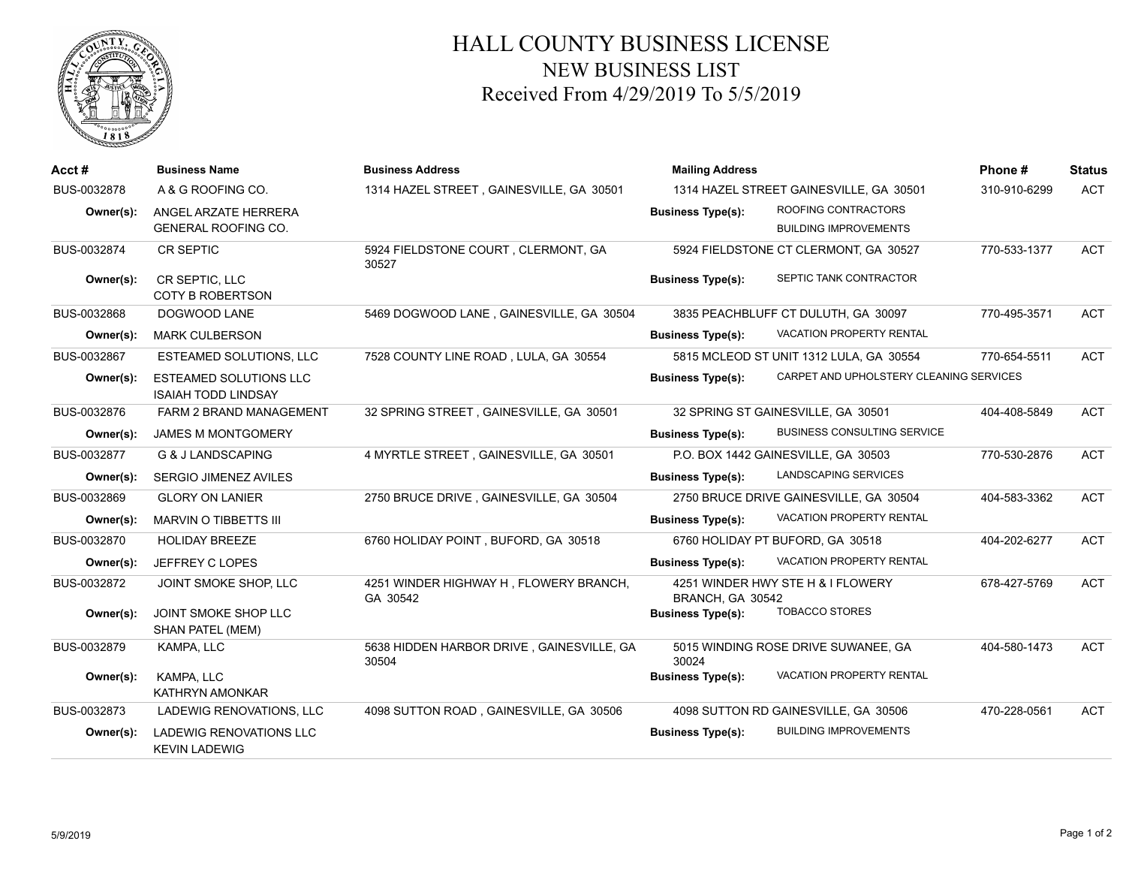

## HALL COUNTY BUSINESS LICENSE NEW BUSINESS LIST Received From 4/29/2019 To 5/5/2019

| Acct#       | <b>Business Name</b>                                        | <b>Business Address</b>                            | <b>Mailing Address</b>                                                          | Phone#       | <b>Status</b> |
|-------------|-------------------------------------------------------------|----------------------------------------------------|---------------------------------------------------------------------------------|--------------|---------------|
| BUS-0032878 | A & G ROOFING CO.                                           | 1314 HAZEL STREET, GAINESVILLE, GA 30501           | 1314 HAZEL STREET GAINESVILLE, GA 30501                                         | 310-910-6299 | <b>ACT</b>    |
| Owner(s):   | ANGEL ARZATE HERRERA<br><b>GENERAL ROOFING CO.</b>          |                                                    | ROOFING CONTRACTORS<br><b>Business Type(s):</b><br><b>BUILDING IMPROVEMENTS</b> |              |               |
| BUS-0032874 | CR SEPTIC                                                   | 5924 FIELDSTONE COURT, CLERMONT, GA<br>30527       | 5924 FIELDSTONE CT CLERMONT, GA 30527                                           | 770-533-1377 | <b>ACT</b>    |
| Owner(s):   | CR SEPTIC, LLC<br><b>COTY B ROBERTSON</b>                   |                                                    | SEPTIC TANK CONTRACTOR<br><b>Business Type(s):</b>                              |              |               |
| BUS-0032868 | DOGWOOD LANE                                                | 5469 DOGWOOD LANE, GAINESVILLE, GA 30504           | 3835 PEACHBLUFF CT DULUTH, GA 30097                                             | 770-495-3571 | <b>ACT</b>    |
| Owner(s):   | <b>MARK CULBERSON</b>                                       |                                                    | <b>VACATION PROPERTY RENTAL</b><br><b>Business Type(s):</b>                     |              |               |
| BUS-0032867 | ESTEAMED SOLUTIONS, LLC                                     | 7528 COUNTY LINE ROAD, LULA, GA 30554              | 5815 MCLEOD ST UNIT 1312 LULA, GA 30554                                         | 770-654-5511 | <b>ACT</b>    |
| Owner(s):   | <b>ESTEAMED SOLUTIONS LLC</b><br><b>ISAIAH TODD LINDSAY</b> |                                                    | CARPET AND UPHOLSTERY CLEANING SERVICES<br><b>Business Type(s):</b>             |              |               |
| BUS-0032876 | <b>FARM 2 BRAND MANAGEMENT</b>                              | 32 SPRING STREET, GAINESVILLE, GA 30501            | 32 SPRING ST GAINESVILLE, GA 30501                                              | 404-408-5849 | <b>ACT</b>    |
| Owner(s):   | <b>JAMES M MONTGOMERY</b>                                   |                                                    | <b>BUSINESS CONSULTING SERVICE</b><br><b>Business Type(s):</b>                  |              |               |
| BUS-0032877 | G & J LANDSCAPING                                           | 4 MYRTLE STREET, GAINESVILLE, GA 30501             | P.O. BOX 1442 GAINESVILLE, GA 30503                                             | 770-530-2876 | <b>ACT</b>    |
| Owner(s):   | SERGIO JIMENEZ AVILES                                       |                                                    | <b>LANDSCAPING SERVICES</b><br><b>Business Type(s):</b>                         |              |               |
| BUS-0032869 | <b>GLORY ON LANIER</b>                                      | 2750 BRUCE DRIVE, GAINESVILLE, GA 30504            | 2750 BRUCE DRIVE GAINESVILLE, GA 30504                                          | 404-583-3362 | <b>ACT</b>    |
| Owner(s):   | MARVIN O TIBBETTS III                                       |                                                    | VACATION PROPERTY RENTAL<br><b>Business Type(s):</b>                            |              |               |
| BUS-0032870 | <b>HOLIDAY BREEZE</b>                                       | 6760 HOLIDAY POINT, BUFORD, GA 30518               | 6760 HOLIDAY PT BUFORD, GA 30518                                                | 404-202-6277 | <b>ACT</b>    |
| Owner(s):   | JEFFREY C LOPES                                             |                                                    | <b>VACATION PROPERTY RENTAL</b><br><b>Business Type(s):</b>                     |              |               |
| BUS-0032872 | JOINT SMOKE SHOP, LLC                                       | 4251 WINDER HIGHWAY H, FLOWERY BRANCH,<br>GA 30542 | 4251 WINDER HWY STE H & I FLOWERY<br>BRANCH, GA 30542                           | 678-427-5769 | <b>ACT</b>    |
| Owner(s):   | JOINT SMOKE SHOP LLC<br><b>SHAN PATEL (MEM)</b>             |                                                    | <b>TOBACCO STORES</b><br><b>Business Type(s):</b>                               |              |               |
| BUS-0032879 | KAMPA, LLC                                                  | 5638 HIDDEN HARBOR DRIVE, GAINESVILLE, GA<br>30504 | 5015 WINDING ROSE DRIVE SUWANEE, GA<br>30024                                    | 404-580-1473 | <b>ACT</b>    |
| Owner(s):   | KAMPA, LLC<br><b>KATHRYN AMONKAR</b>                        |                                                    | VACATION PROPERTY RENTAL<br><b>Business Type(s):</b>                            |              |               |
| BUS-0032873 | LADEWIG RENOVATIONS, LLC                                    | 4098 SUTTON ROAD, GAINESVILLE, GA 30506            | 4098 SUTTON RD GAINESVILLE, GA 30506                                            | 470-228-0561 | <b>ACT</b>    |
| Owner(s):   | <b>LADEWIG RENOVATIONS LLC</b><br><b>KEVIN LADEWIG</b>      |                                                    | <b>BUILDING IMPROVEMENTS</b><br><b>Business Type(s):</b>                        |              |               |